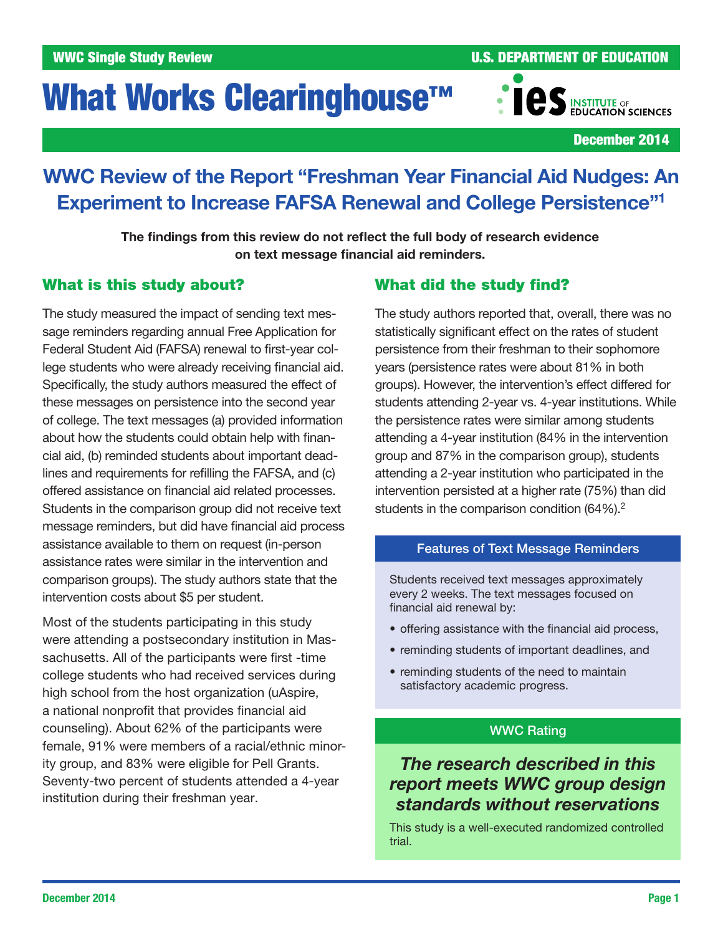# What Works Clearinghouse<sup>™</sup>

WWC Single Study Review **No. 2008** U.S. DEPARTMENT OF EDUCATION



December 2014

## WWC Review of the Report "Freshman Year Financial Aid Nudges: An Experiment to Increase FAFSA Renewal and College Persistence"1

The findings from this review do not reflect the full body of research evidence on text message financial aid reminders.

## What is this study about?

The study measured the impact of sending text message reminders regarding annual Free Application for Federal Student Aid (FAFSA) renewal to first-year college students who were already receiving financial aid. Specifically, the study authors measured the effect of these messages on persistence into the second year of college. The text messages (a) provided information about how the students could obtain help with financial aid, (b) reminded students about important deadlines and requirements for refilling the FAFSA, and (c) offered assistance on financial aid related processes. Students in the comparison group did not receive text message reminders, but did have financial aid process assistance available to them on request (in-person assistance rates were similar in the intervention and comparison groups). The study authors state that the intervention costs about \$5 per student.

Most of the students participating in this study were attending a postsecondary institution in Massachusetts. All of the participants were first -time college students who had received services during high school from the host organization (uAspire, a national nonprofit that provides financial aid counseling). About 62% of the participants were female, 91% were members of a racial/ethnic minority group, and 83% were eligible for Pell Grants. Seventy-two percent of students attended a 4 -year institution during their freshman year.

## What did the study find?

The study authors reported that, overall, there was no statistically significant effect on the rates of student persistence from their freshman to their sophomore years (persistence rates were about 81% in both groups). However, the intervention's effect differed for students attending 2-year vs. 4-year institutions. While the persistence rates were similar among students attending a 4-year institution (84% in the intervention group and 87% in the comparison group), students attending a 2-year institution who participated in the intervention persisted at a higher rate (75%) than did students in the comparison condition (64%).<sup>2</sup>

## Features of Text Message Reminders

Students received text messages approximately every 2 weeks. The text messages focused on financial aid renewal by:

- offering assistance with the financial aid process,
- reminding students of important deadlines, and
- reminding students of the need to maintain satisfactory academic progress.

## WWC Rating

## *The research described in this report meets WWC group design standards without reservations*

This study is a well-executed randomized controlled trial.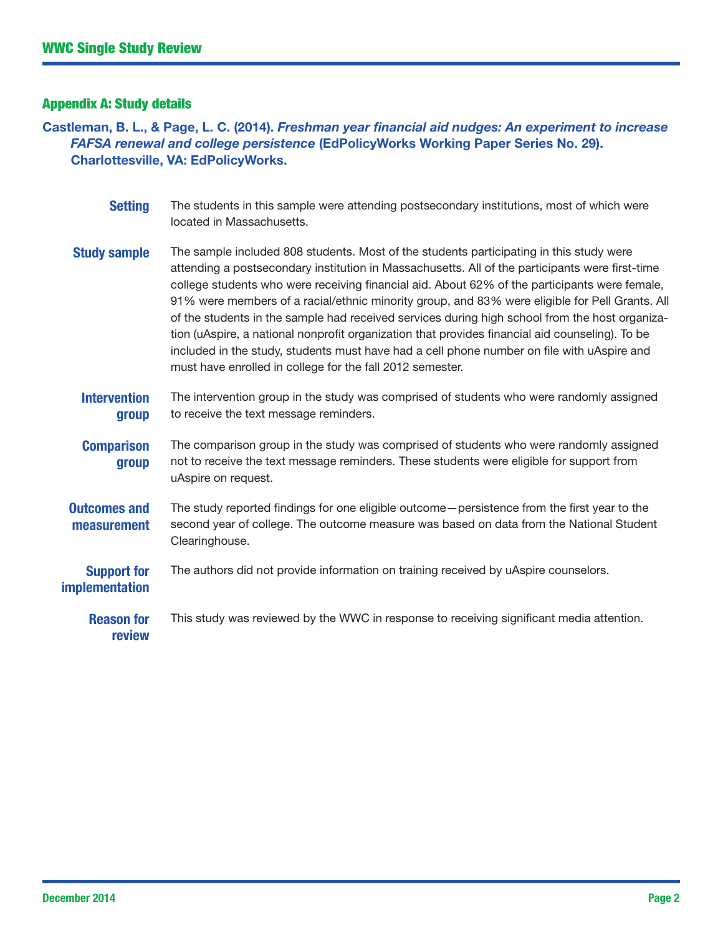## Appendix A: Study details

Castleman, B. L., & Page, L. C. (2014). *Freshman year financial aid nudges: An experiment to increase FAFSA renewal and college persistence* (EdPolicyWorks Working Paper Series No. 29). Charlottesville, VA: EdPolicyWorks.

| <b>Setting</b>                              | The students in this sample were attending postsecondary institutions, most of which were<br>located in Massachusetts.                                                                                                                                                                                                                                                                                                                                                                                                                                                                                                                                                                                                                                        |
|---------------------------------------------|---------------------------------------------------------------------------------------------------------------------------------------------------------------------------------------------------------------------------------------------------------------------------------------------------------------------------------------------------------------------------------------------------------------------------------------------------------------------------------------------------------------------------------------------------------------------------------------------------------------------------------------------------------------------------------------------------------------------------------------------------------------|
| <b>Study sample</b>                         | The sample included 808 students. Most of the students participating in this study were<br>attending a postsecondary institution in Massachusetts. All of the participants were first-time<br>college students who were receiving financial aid. About 62% of the participants were female,<br>91% were members of a racial/ethnic minority group, and 83% were eligible for Pell Grants. All<br>of the students in the sample had received services during high school from the host organiza-<br>tion (uAspire, a national nonprofit organization that provides financial aid counseling). To be<br>included in the study, students must have had a cell phone number on file with uAspire and<br>must have enrolled in college for the fall 2012 semester. |
| <b>Intervention</b><br>group                | The intervention group in the study was comprised of students who were randomly assigned<br>to receive the text message reminders.                                                                                                                                                                                                                                                                                                                                                                                                                                                                                                                                                                                                                            |
| <b>Comparison</b><br>group                  | The comparison group in the study was comprised of students who were randomly assigned<br>not to receive the text message reminders. These students were eligible for support from<br>uAspire on request.                                                                                                                                                                                                                                                                                                                                                                                                                                                                                                                                                     |
| <b>Outcomes and</b><br>measurement          | The study reported findings for one eligible outcome - persistence from the first year to the<br>second year of college. The outcome measure was based on data from the National Student<br>Clearinghouse.                                                                                                                                                                                                                                                                                                                                                                                                                                                                                                                                                    |
| <b>Support for</b><br><b>implementation</b> | The authors did not provide information on training received by uAspire counselors.                                                                                                                                                                                                                                                                                                                                                                                                                                                                                                                                                                                                                                                                           |
| <b>Reason for</b><br>review                 | This study was reviewed by the WWC in response to receiving significant media attention.                                                                                                                                                                                                                                                                                                                                                                                                                                                                                                                                                                                                                                                                      |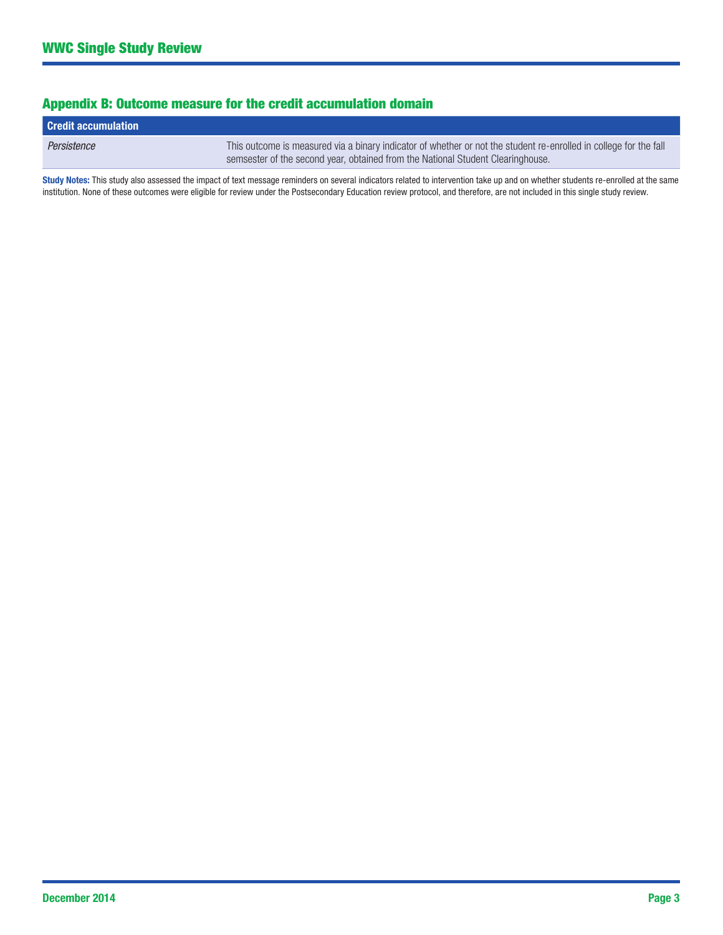## Appendix B: Outcome measure for the credit accumulation domain

| <b>Credit accumulation</b> |                                                                                                                                                                                                      |
|----------------------------|------------------------------------------------------------------------------------------------------------------------------------------------------------------------------------------------------|
| Persistence                | This outcome is measured via a binary indicator of whether or not the student re-enrolled in college for the fall<br>semsester of the second year, obtained from the National Student Clearinghouse. |

Study Notes: This study also assessed the impact of text message reminders on several indicators related to intervention take up and on whether students re-enrolled at the same institution. None of these outcomes were eligible for review under the Postsecondary Education review protocol, and therefore, are not included in this single study review.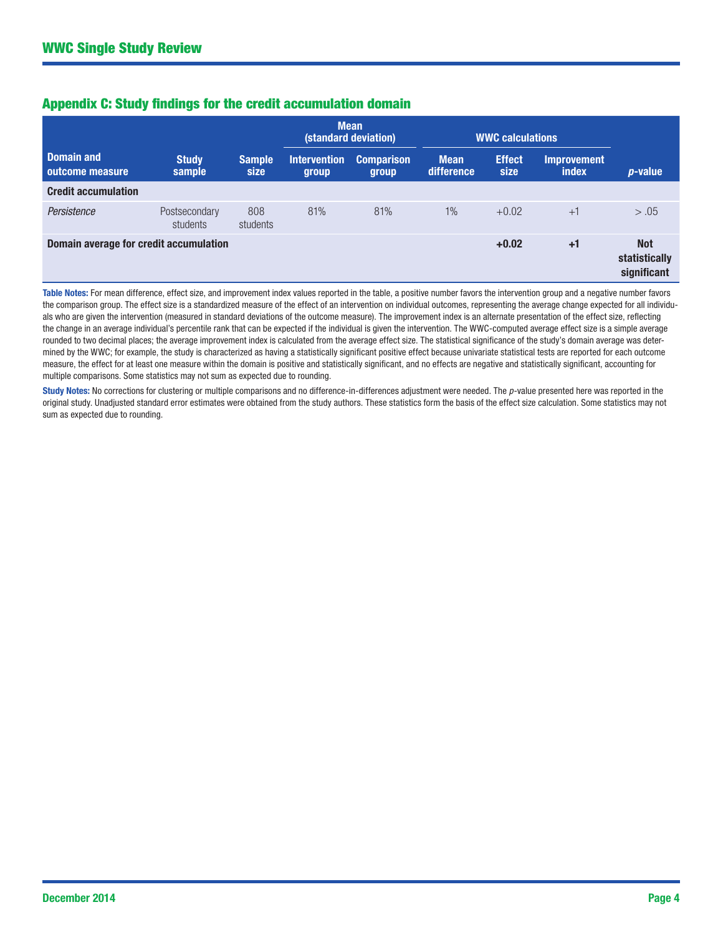|  |  |  |  |  |  | <b>Appendix C: Study findings for the credit accumulation domain</b> |  |
|--|--|--|--|--|--|----------------------------------------------------------------------|--|
|--|--|--|--|--|--|----------------------------------------------------------------------|--|

|                                        |                           |                       | <b>Mean</b><br>(standard deviation) |                            | <b>WWC calculations</b>   |                       |                                            |                 |
|----------------------------------------|---------------------------|-----------------------|-------------------------------------|----------------------------|---------------------------|-----------------------|--------------------------------------------|-----------------|
| <b>Domain and</b><br>outcome measure   | <b>Study</b><br>sample    | <b>Sample</b><br>size | <b>Intervention</b><br>group        | <b>Comparison</b><br>group | <b>Mean</b><br>difference | <b>Effect</b><br>size | <b>Improvement</b><br>index                | <i>p</i> -value |
| <b>Credit accumulation</b>             |                           |                       |                                     |                            |                           |                       |                                            |                 |
| Persistence                            | Postsecondary<br>students | 808<br>students       | 81%                                 | 81%                        | $1\%$                     | $+0.02$               | $+1$                                       | > .05           |
| Domain average for credit accumulation |                           |                       |                                     |                            | $+0.02$                   | $+1$                  | <b>Not</b><br>statistically<br>significant |                 |

- the comparison group. The effect size is a standardized measure of the effect of an intervention on individual outcomes, representing the average change expected for all individu - rounded to two decimal places; the average improvement index is calculated from the average effect size. The statistical significance of the study's domain average was deter Table Notes: For mean difference, effect size, and improvement index values reported in the table, a positive number favors the intervention group and a negative number favors als who are given the intervention (measured in standard deviations of the outcome measure). The improvement index is an alternate presentation of the effect size, reflecting the change in an average individual's percentile rank that can be expected if the individual is given the intervention. The WWC-computed average effect size is a simple average mined by the WWC; for example, the study is characterized as having a statistically significant positive effect because univariate statistical tests are reported for each outcome measure, the effect for at least one measure within the domain is positive and statistically significant, and no effects are negative and statistically significant, accounting for multiple comparisons. Some statistics may not sum as expected due to rounding.

Study Notes: No corrections for clustering or multiple comparisons and no difference-in-differences adjustment were needed. The p-value presented here was reported in the original study. Unadjusted standard error estimates were obtained from the study authors. These statistics form the basis of the effect size calculation. Some statistics may not sum as expected due to rounding.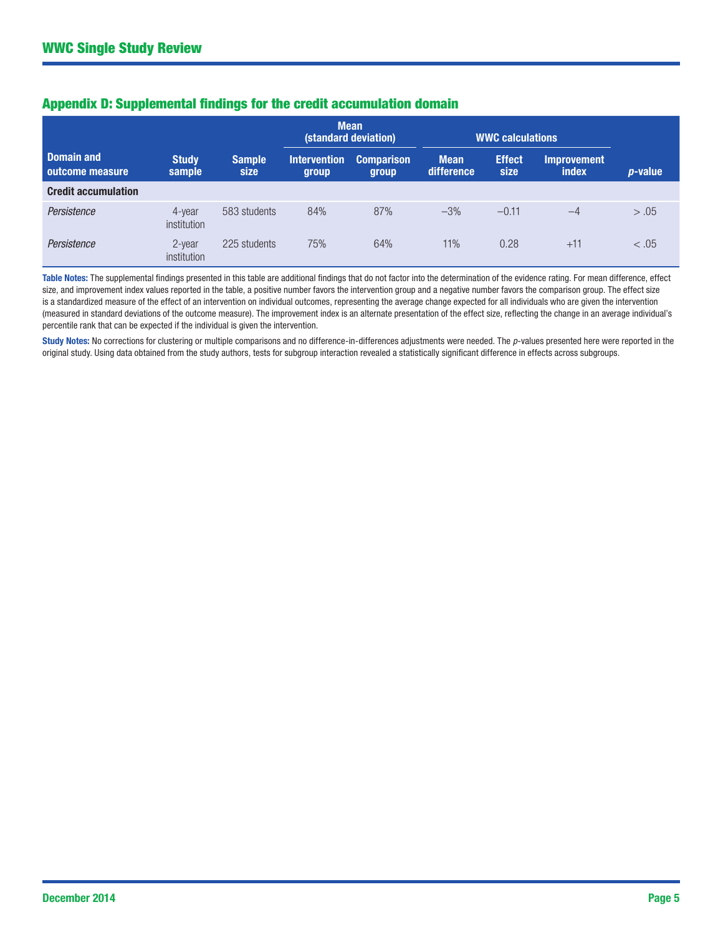|                                      |                              |                       | <b>Mean</b><br>(standard deviation) |                            | <b>WWC calculations</b>   |                       |                                    |                 |
|--------------------------------------|------------------------------|-----------------------|-------------------------------------|----------------------------|---------------------------|-----------------------|------------------------------------|-----------------|
| <b>Domain and</b><br>outcome measure | <b>Study</b><br>sample       | <b>Sample</b><br>size | <b>Intervention</b><br>group        | <b>Comparison</b><br>group | <b>Mean</b><br>difference | <b>Effect</b><br>size | <b>Improvement</b><br><b>index</b> | <i>p</i> -value |
| <b>Credit accumulation</b>           |                              |                       |                                     |                            |                           |                       |                                    |                 |
| Persistence                          | 4-year<br>institution        | 583 students          | 84%                                 | 87%                        | $-3%$                     | $-0.11$               | $-4$                               | > .05           |
| Persistence                          | 2-year<br><i>institution</i> | 225 students          | 75%                                 | 64%                        | 11%                       | 0.28                  | $+11$                              | < .05           |

## Appendix D: Supplemental findings for the credit accumulation domain

Table Notes: The supplemental findings presented in this table are additional findings that do not factor into the determination of the evidence rating. For mean difference, effect size, and improvement index values reported in the table, a positive number favors the intervention group and a negative number favors the comparison group. The effect size is a standardized measure of the effect of an intervention on individual outcomes, representing the average change expected for all individuals who are given the intervention (measured in standard deviations of the outcome measure). The improvement index is an alternate presentation of the effect size, reflecting the change in an average individual's percentile rank that can be expected if the individual is given the intervention.

Study Notes: No corrections for clustering or multiple comparisons and no difference-in-differences adjustments were needed. The p-values presented here were reported in the original study. Using data obtained from the study authors, tests for subgroup interaction revealed a statistically significant difference in effects across subgroups.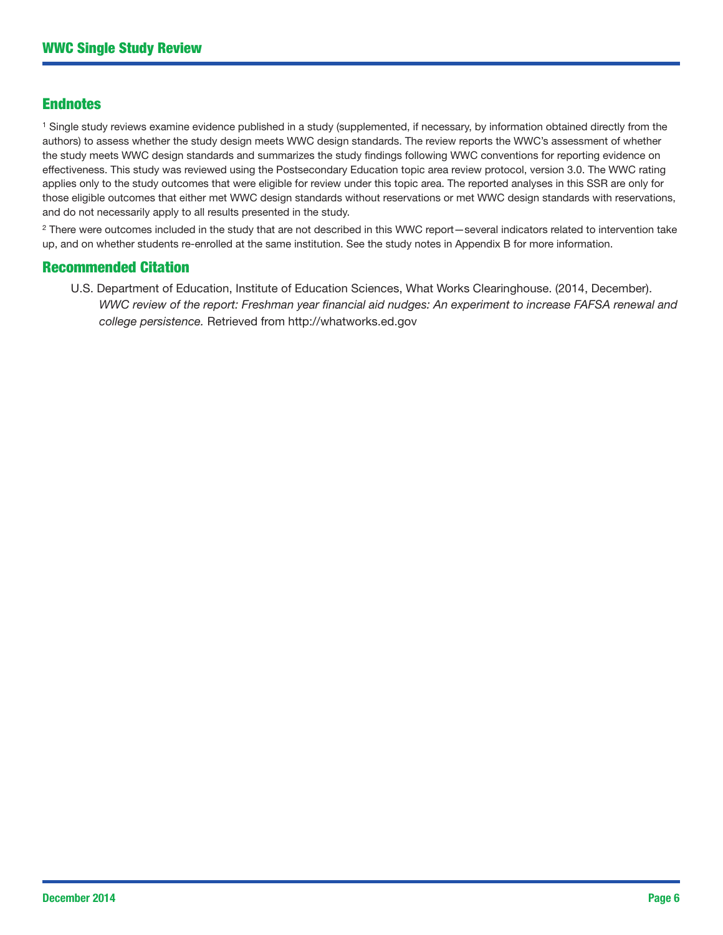## Endnotes

<sup>1</sup> Single study reviews examine evidence published in a study (supplemented, if necessary, by information obtained directly from the authors) to assess whether the study design meets WWC design standards. The review reports the WWC's assessment of whether the study meets WWC design standards and summarizes the study findings following WWC conventions for reporting evidence on effectiveness. This study was reviewed using the Postsecondary Education topic area review protocol, version 3.0. The WWC rating applies only to the study outcomes that were eligible for review under this topic area. The reported analyses in this SSR are only for those eligible outcomes that either met WWC design standards without reservations or met WWC design standards with reservations, and do not necessarily apply to all results presented in the study.

<sup>2</sup> There were outcomes included in the study that are not described in this WWC report—several indicators related to intervention take up, and on whether students re-enrolled at the same institution. See the study notes in Appendix B for more information.

#### Recommended Citation

U.S. Department of Education, Institute of Education Sciences, What Works Clearinghouse. (2014, December). *WWC review of the report: Freshman year financial aid nudges: An experiment to increase FAFSA renewal and college persistence.* Retrieved from http://whatworks.ed.gov